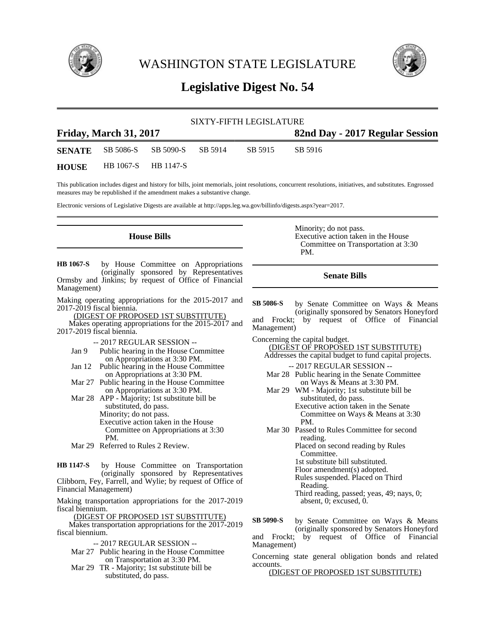

WASHINGTON STATE LEGISLATURE



# **Legislative Digest No. 54**

| SIXTY-FIFTH LEGISLATURE       |                                           |                     |  |         |                                 |
|-------------------------------|-------------------------------------------|---------------------|--|---------|---------------------------------|
| <b>Friday, March 31, 2017</b> |                                           |                     |  |         | 82nd Day - 2017 Regular Session |
|                               | <b>SENATE</b> SB 5086-S SB 5090-S SB 5914 |                     |  | SB 5915 | SB 5916                         |
| <b>HOUSE</b>                  |                                           | HB 1067-S HB 1147-S |  |         |                                 |

This publication includes digest and history for bills, joint memorials, joint resolutions, concurrent resolutions, initiatives, and substitutes. Engrossed measures may be republished if the amendment makes a substantive change.

Electronic versions of Legislative Digests are available at http://apps.leg.wa.gov/billinfo/digests.aspx?year=2017.

### **House Bills**

by House Committee on Appropriations (originally sponsored by Representatives Ormsby and Jinkins; by request of Office of Financial Management) **HB 1067-S**

Making operating appropriations for the 2015-2017 and 2017-2019 fiscal biennia.

(DIGEST OF PROPOSED 1ST SUBSTITUTE)

Makes operating appropriations for the 2015-2017 and 2017-2019 fiscal biennia.

-- 2017 REGULAR SESSION --

- Jan 9 Public hearing in the House Committee on Appropriations at 3:30 PM.
- Jan 12 Public hearing in the House Committee on Appropriations at 3:30 PM.
- Mar 27 Public hearing in the House Committee on Appropriations at 3:30 PM.

Mar 28 APP - Majority; 1st substitute bill be substituted, do pass. Minority; do not pass. Executive action taken in the House Committee on Appropriations at 3:30 PM.

Mar 29 Referred to Rules 2 Review.

by House Committee on Transportation (originally sponsored by Representatives Clibborn, Fey, Farrell, and Wylie; by request of Office of Financial Management) **HB 1147-S**

Making transportation appropriations for the 2017-2019 fiscal biennium.

(DIGEST OF PROPOSED 1ST SUBSTITUTE)

Makes transportation appropriations for the 2017-2019 fiscal biennium.

-- 2017 REGULAR SESSION --

- Mar 27 Public hearing in the House Committee on Transportation at 3:30 PM.
- Mar 29 TR Majority; 1st substitute bill be substituted, do pass.

Minority; do not pass. Executive action taken in the House Committee on Transportation at 3:30 PM.

## **Senate Bills**

by Senate Committee on Ways & Means (originally sponsored by Senators Honeyford and Frockt; by request of Office of Financial Management) **SB 5086-S**

Concerning the capital budget.

- (DIGEST OF PROPOSED 1ST SUBSTITUTE) Addresses the capital budget to fund capital projects.
- -- 2017 REGULAR SESSION -- Mar 28 Public hearing in the Senate Committee
- on Ways & Means at 3:30 PM. Mar 29 WM - Majority; 1st substitute bill be substituted, do pass.

Executive action taken in the Senate Committee on Ways & Means at 3:30 PM.

Mar 30 Passed to Rules Committee for second reading. Placed on second reading by Rules Committee.

1st substitute bill substituted.

Floor amendment(s) adopted.

Rules suspended. Placed on Third Reading.

Third reading, passed; yeas, 49; nays, 0; absent, 0; excused, 0.

by Senate Committee on Ways & Means (originally sponsored by Senators Honeyford and Frockt; by request of Office of Financial Management) **SB 5090-S**

Concerning state general obligation bonds and related accounts.

(DIGEST OF PROPOSED 1ST SUBSTITUTE)